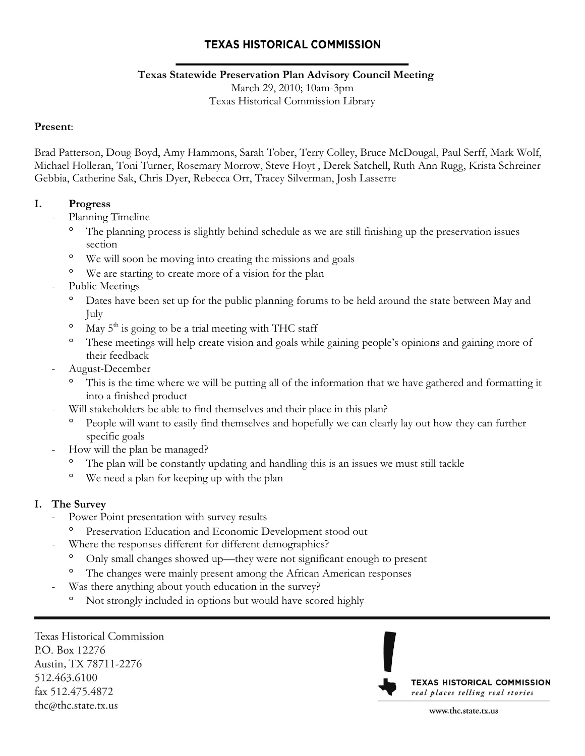### **Texas Statewide Preservation Plan Advisory Council Meeting**

March 29, 2010; 10am-3pm

Texas Historical Commission Library

#### **Present**:

Brad Patterson, Doug Boyd, Amy Hammons, Sarah Tober, Terry Colley, Bruce McDougal, Paul Serff, Mark Wolf, Michael Holleran, Toni Turner, Rosemary Morrow, Steve Hoyt , Derek Satchell, Ruth Ann Rugg, Krista Schreiner Gebbia, Catherine Sak, Chris Dyer, Rebecca Orr, Tracey Silverman, Josh Lasserre

### **I. Progress**

- Planning Timeline
	- The planning process is slightly behind schedule as we are still finishing up the preservation issues section
	- $\circ$ We will soon be moving into creating the missions and goals
	- <sup>o</sup> We are starting to create more of a vision for the plan
- Public Meetings
	- $\circ$ Dates have been set up for the public planning forums to be held around the state between May and July
	- $\circ$ May  $5<sup>th</sup>$  is going to be a trial meeting with THC staff
	- $\circ$ These meetings will help create vision and goals while gaining people's opinions and gaining more of their feedback
- August-December
	- This is the time where we will be putting all of the information that we have gathered and formatting it into a finished product
- Will stakeholders be able to find themselves and their place in this plan?
	- People will want to easily find themselves and hopefully we can clearly lay out how they can further specific goals
- How will the plan be managed?
	- The plan will be constantly updating and handling this is an issues we must still tackle
	- $\circ$ We need a plan for keeping up with the plan

### **I. The Survey**

- Power Point presentation with survey results
	- $\circ$ Preservation Education and Economic Development stood out
	- Where the responses different for different demographics?
		- Only small changes showed up—they were not significant enough to present
		- The changes were mainly present among the African American responses
	- Was there anything about youth education in the survey?
		- Not strongly included in options but would have scored highly

**Texas Historical Commission** P.O. Box 12276 Austin, TX 78711-2276 512.463.6100 fax 512.475.4872 thc@thc.state.tx.us

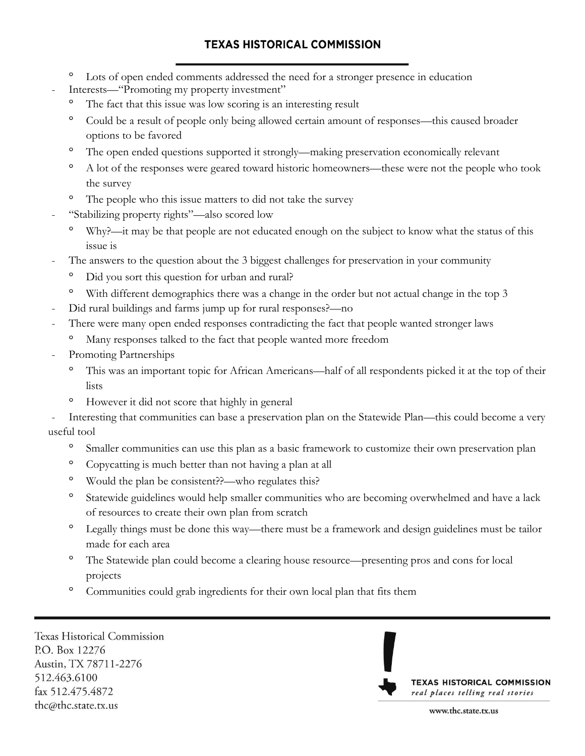- Lots of open ended comments addressed the need for a stronger presence in education
- Interests—"Promoting my property investment"
	- The fact that this issue was low scoring is an interesting result
	- <sup>o</sup> Could be a result of people only being allowed certain amount of responses—this caused broader options to be favored
	- $\circ$ The open ended questions supported it strongly—making preservation economically relevant
	- A lot of the responses were geared toward historic homeowners—these were not the people who took the survey
	- The people who this issue matters to did not take the survey
- "Stabilizing property rights"—also scored low
	- Why?—it may be that people are not educated enough on the subject to know what the status of this issue is
- The answers to the question about the 3 biggest challenges for preservation in your community
	- Did you sort this question for urban and rural?
	- $\circ$ With different demographics there was a change in the order but not actual change in the top 3
- Did rural buildings and farms jump up for rural responses?-no
- There were many open ended responses contradicting the fact that people wanted stronger laws
	- Many responses talked to the fact that people wanted more freedom
- Promoting Partnerships
	- This was an important topic for African Americans—half of all respondents picked it at the top of their lists
	- However it did not score that highly in general

Interesting that communities can base a preservation plan on the Statewide Plan—this could become a very useful tool

- $\Omega$ Smaller communities can use this plan as a basic framework to customize their own preservation plan
- $\circ$ Copycatting is much better than not having a plan at all
- $\circ$ Would the plan be consistent??—who regulates this?
- $\circ$ Statewide guidelines would help smaller communities who are becoming overwhelmed and have a lack of resources to create their own plan from scratch
- Legally things must be done this way—there must be a framework and design guidelines must be tailor made for each area
- $\circ$ The Statewide plan could become a clearing house resource—presenting pros and cons for local projects
- $\circ$ Communities could grab ingredients for their own local plan that fits them

**Texas Historical Commission** P.O. Box 12276 Austin, TX 78711-2276 512.463.6100 fax 512.475.4872 thc@thc.state.tx.us

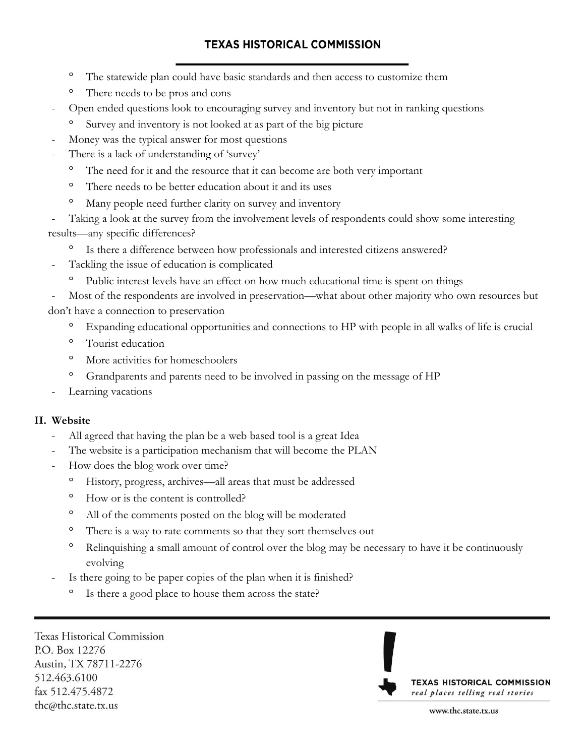- $\circ$ The statewide plan could have basic standards and then access to customize them
- $\circ$ There needs to be pros and cons
- Open ended questions look to encouraging survey and inventory but not in ranking questions
	- Survey and inventory is not looked at as part of the big picture
- Money was the typical answer for most questions
- There is a lack of understanding of 'survey'
	- The need for it and the resource that it can become are both very important
	- $\circ$ There needs to be better education about it and its uses
	- Many people need further clarity on survey and inventory
- Taking a look at the survey from the involvement levels of respondents could show some interesting results—any specific differences?
	- $\circ$ Is there a difference between how professionals and interested citizens answered?
	- Tackling the issue of education is complicated
		- Public interest levels have an effect on how much educational time is spent on things

Most of the respondents are involved in preservation—what about other majority who own resources but don"t have a connection to preservation

- $\circ$ Expanding educational opportunities and connections to HP with people in all walks of life is crucial
- $\circ$ Tourist education
- $\circ$ More activities for homeschoolers
- $\circ$ Grandparents and parents need to be involved in passing on the message of HP
- Learning vacations

### **II. Website**

- All agreed that having the plan be a web based tool is a great Idea
- The website is a participation mechanism that will become the PLAN
- How does the blog work over time?
	- $\circ$ History, progress, archives—all areas that must be addressed
	- $\circ$ How or is the content is controlled?
	- $\circ$ All of the comments posted on the blog will be moderated
	- There is a way to rate comments so that they sort themselves out
	- $\circ$ Relinquishing a small amount of control over the blog may be necessary to have it be continuously evolving
- Is there going to be paper copies of the plan when it is finished?
	- Is there a good place to house them across the state?

**Texas Historical Commission** P.O. Box 12276 Austin, TX 78711-2276 512.463.6100 fax 512.475.4872 thc@thc.state.tx.us

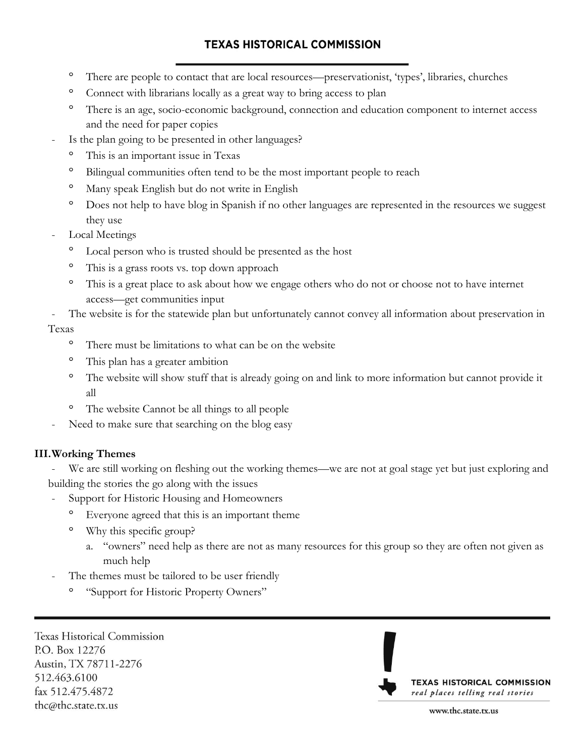- $\circ$ There are people to contact that are local resources—preservationist, "types", libraries, churches
- $\circ$ Connect with librarians locally as a great way to bring access to plan
- $\circ$ There is an age, socio-economic background, connection and education component to internet access and the need for paper copies
- Is the plan going to be presented in other languages?
	- This is an important issue in Texas
	- $\circ$ Bilingual communities often tend to be the most important people to reach
	- Many speak English but do not write in English
	- $\circ$ Does not help to have blog in Spanish if no other languages are represented in the resources we suggest they use
- Local Meetings
	- Local person who is trusted should be presented as the host
	- $\circ$ This is a grass roots vs. top down approach
	- $\circ$ This is a great place to ask about how we engage others who do not or choose not to have internet access—get communities input
- The website is for the statewide plan but unfortunately cannot convey all information about preservation in Texas
	- There must be limitations to what can be on the website
	- $\circ$ This plan has a greater ambition
	- $\circ$ The website will show stuff that is already going on and link to more information but cannot provide it all
	- $\circ$ The website Cannot be all things to all people
- Need to make sure that searching on the blog easy

### **III.Working Themes**

We are still working on fleshing out the working themes—we are not at goal stage yet but just exploring and building the stories the go along with the issues

- Support for Historic Housing and Homeowners
	- Everyone agreed that this is an important theme
	- Why this specific group?
		- a. "owners" need help as there are not as many resources for this group so they are often not given as much help
- The themes must be tailored to be user friendly
	- "Support for Historic Property Owners"

**Texas Historical Commission** P.O. Box 12276 Austin, TX 78711-2276 512.463.6100 fax 512.475.4872 thc@thc.state.tx.us

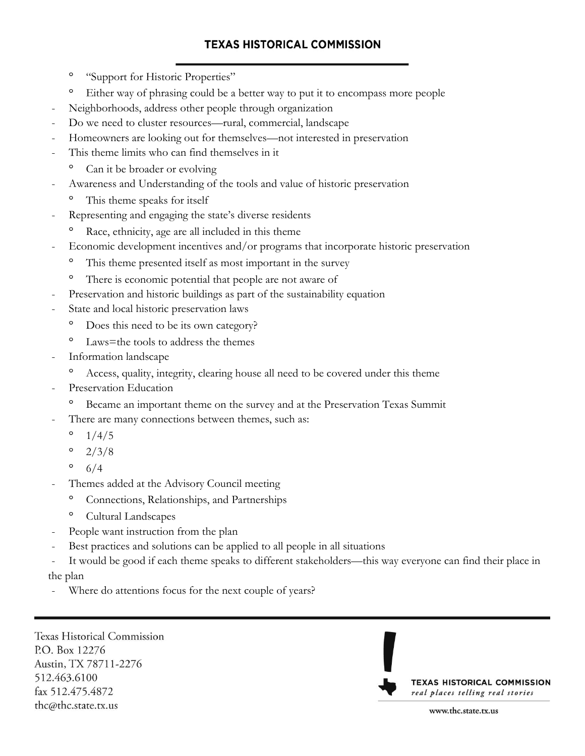- $\circ$ "Support for Historic Properties"
- $\circ$ Either way of phrasing could be a better way to put it to encompass more people
- Neighborhoods, address other people through organization
- Do we need to cluster resources—rural, commercial, landscape
- Homeowners are looking out for themselves—not interested in preservation
- This theme limits who can find themselves in it
	- Can it be broader or evolving
- Awareness and Understanding of the tools and value of historic preservation
	- This theme speaks for itself
- Representing and engaging the state's diverse residents
	- $\circ$ Race, ethnicity, age are all included in this theme
- Economic development incentives and/or programs that incorporate historic preservation
	- $\circ$ This theme presented itself as most important in the survey
	- There is economic potential that people are not aware of
- Preservation and historic buildings as part of the sustainability equation
- State and local historic preservation laws
	- $\circ$ Does this need to be its own category?
	- $\circ$ Laws=the tools to address the themes
- Information landscape
	- $\circ$ Access, quality, integrity, clearing house all need to be covered under this theme
- Preservation Education
	- Became an important theme on the survey and at the Preservation Texas Summit
- There are many connections between themes, such as:
	- $\circ$ 1/4/5
	- $\circ$ 2/3/8
	- $\circ$ 6/4
- Themes added at the Advisory Council meeting
	- $\circ$ Connections, Relationships, and Partnerships
	- $\circ$ Cultural Landscapes
- People want instruction from the plan
- Best practices and solutions can be applied to all people in all situations
- It would be good if each theme speaks to different stakeholders—this way everyone can find their place in the plan
- Where do attentions focus for the next couple of years?

**Texas Historical Commission** P.O. Box 12276 Austin, TX 78711-2276 512.463.6100 fax 512.475.4872 thc@thc.state.tx.us

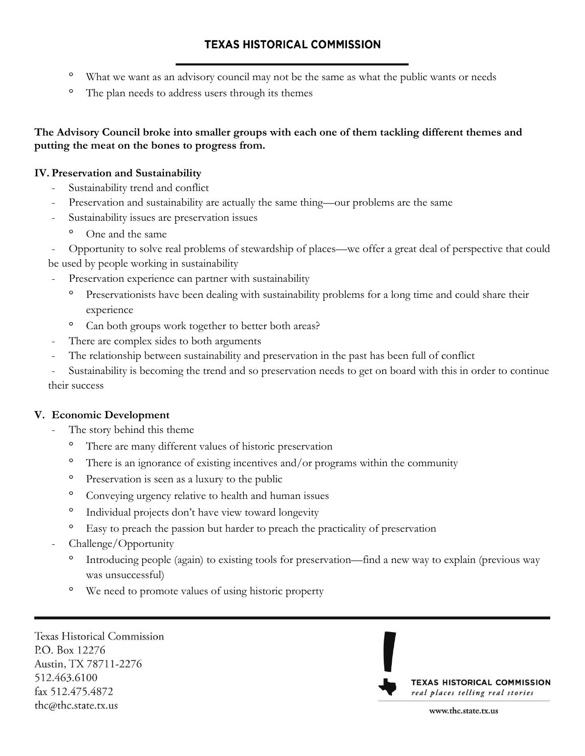- $\circ$ What we want as an advisory council may not be the same as what the public wants or needs
- $\circ$ The plan needs to address users through its themes

### **The Advisory Council broke into smaller groups with each one of them tackling different themes and putting the meat on the bones to progress from.**

#### **IV. Preservation and Sustainability**

- Sustainability trend and conflict
- Preservation and sustainability are actually the same thing—our problems are the same
- Sustainability issues are preservation issues
	- <sup>o</sup> One and the same

- Opportunity to solve real problems of stewardship of places—we offer a great deal of perspective that could be used by people working in sustainability

- Preservation experience can partner with sustainability
	- Preservationists have been dealing with sustainability problems for a long time and could share their experience
	- Can both groups work together to better both areas?
- There are complex sides to both arguments
- The relationship between sustainability and preservation in the past has been full of conflict

Sustainability is becoming the trend and so preservation needs to get on board with this in order to continue their success

### **V. Economic Development**

- The story behind this theme
	- There are many different values of historic preservation
	- $\circ$ There is an ignorance of existing incentives and/or programs within the community
	- $\circ$ Preservation is seen as a luxury to the public
	- <sup>o</sup> Conveying urgency relative to health and human issues
	- $\circ$ Individual projects don"t have view toward longevity
	- Easy to preach the passion but harder to preach the practicality of preservation
- Challenge/Opportunity
	- $\circ$ Introducing people (again) to existing tools for preservation—find a new way to explain (previous way was unsuccessful)
	- $\circ$ We need to promote values of using historic property

**Texas Historical Commission** P.O. Box 12276 Austin, TX 78711-2276 512.463.6100 fax 512.475.4872 thc@thc.state.tx.us

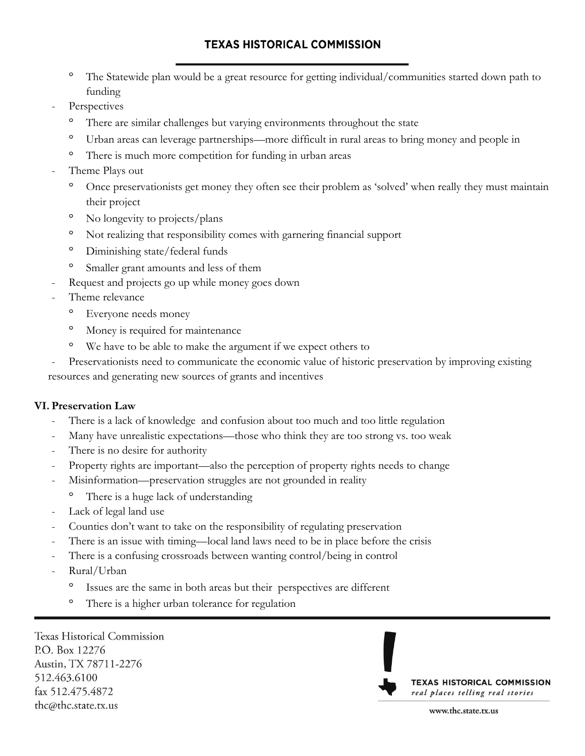- $\circ$ The Statewide plan would be a great resource for getting individual/communities started down path to funding
- Perspectives
	- $\circ$ There are similar challenges but varying environments throughout the state
	- $\circ$ Urban areas can leverage partnerships—more difficult in rural areas to bring money and people in
	- $\circ$ There is much more competition for funding in urban areas
- Theme Plays out
	- $\circ$ Once preservationists get money they often see their problem as "solved" when really they must maintain their project
	- $\circ$ No longevity to projects/plans
	- $\circ$ Not realizing that responsibility comes with garnering financial support
	- $\circ$ Diminishing state/federal funds
	- $\circ$ Smaller grant amounts and less of them
- Request and projects go up while money goes down
- Theme relevance
	- Everyone needs money
	- Money is required for maintenance  $\circ$
	- $\circ$ We have to be able to make the argument if we expect others to
- Preservationists need to communicate the economic value of historic preservation by improving existing

resources and generating new sources of grants and incentives

#### **VI. Preservation Law**

- There is a lack of knowledge and confusion about too much and too little regulation
- Many have unrealistic expectations—those who think they are too strong vs. too weak
- There is no desire for authority
- Property rights are important—also the perception of property rights needs to change
- Misinformation—preservation struggles are not grounded in reality
	- There is a huge lack of understanding
- Lack of legal land use
- Counties don't want to take on the responsibility of regulating preservation
- There is an issue with timing—local land laws need to be in place before the crisis
- There is a confusing crossroads between wanting control/being in control
- Rural/Urban
	- Issues are the same in both areas but their perspectives are different
	- $\circ$ There is a higher urban tolerance for regulation

**Texas Historical Commission** P.O. Box 12276 Austin, TX 78711-2276 512.463.6100 fax 512.475.4872 thc@thc.state.tx.us

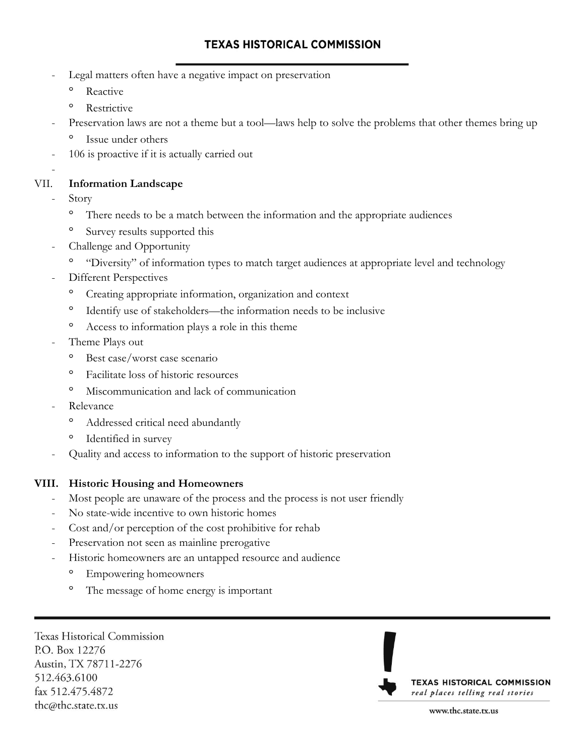- Legal matters often have a negative impact on preservation
	- $\circ$ Reactive
	- $\circ$ Restrictive
	- Preservation laws are not a theme but a tool—laws help to solve the problems that other themes bring up Issue under others
- 106 is proactive if it is actually carried out

#### VII. **Information Landscape**

**Story** 

-

- $\circ$ There needs to be a match between the information and the appropriate audiences
- Survey results supported this
- Challenge and Opportunity
	- <sup>o</sup> "Diversity" of information types to match target audiences at appropriate level and technology
- Different Perspectives
	- Creating appropriate information, organization and context
	- $\circ$ Identify use of stakeholders—the information needs to be inclusive
	- $\circ$ Access to information plays a role in this theme
- Theme Plays out
	- $\circ$ Best case/worst case scenario
	- $\circ$ Facilitate loss of historic resources
	- $\circ$ Miscommunication and lack of communication
- Relevance
	- $\circ$ Addressed critical need abundantly
	- Identified in survey
- Quality and access to information to the support of historic preservation

#### **VIII. Historic Housing and Homeowners**

- Most people are unaware of the process and the process is not user friendly
- No state-wide incentive to own historic homes
- Cost and/or perception of the cost prohibitive for rehab
- Preservation not seen as mainline prerogative
- Historic homeowners are an untapped resource and audience
	- Empowering homeowners
	- $\circ$ The message of home energy is important

**Texas Historical Commission** P.O. Box 12276 Austin, TX 78711-2276 512.463.6100 fax 512.475.4872 thc@thc.state.tx.us